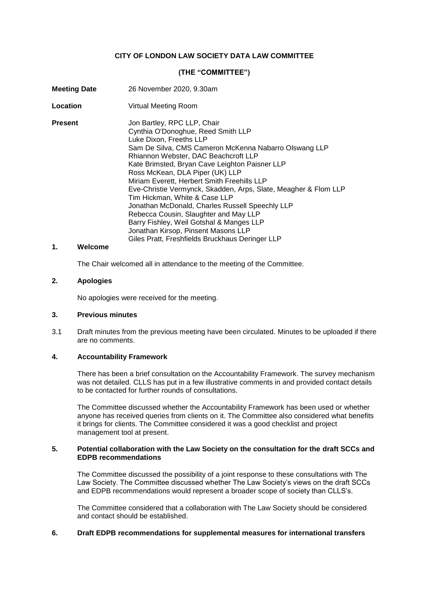## **CITY OF LONDON LAW SOCIETY DATA LAW COMMITTEE**

## **(THE "COMMITTEE")**

| <b>Meeting Date</b> | 26 November 2020, 9.30am                                                                                                                                                                                                                                                                                                                                                                                                                                                                                                                                                                                                                                                |
|---------------------|-------------------------------------------------------------------------------------------------------------------------------------------------------------------------------------------------------------------------------------------------------------------------------------------------------------------------------------------------------------------------------------------------------------------------------------------------------------------------------------------------------------------------------------------------------------------------------------------------------------------------------------------------------------------------|
| Location            | Virtual Meeting Room                                                                                                                                                                                                                                                                                                                                                                                                                                                                                                                                                                                                                                                    |
| <b>Present</b>      | Jon Bartley, RPC LLP, Chair<br>Cynthia O'Donoghue, Reed Smith LLP<br>Luke Dixon, Freeths LLP<br>Sam De Silva, CMS Cameron McKenna Nabarro Olswang LLP<br>Rhiannon Webster, DAC Beachcroft LLP<br>Kate Brimsted, Bryan Cave Leighton Paisner LLP<br>Ross McKean, DLA Piper (UK) LLP<br>Miriam Everett, Herbert Smith Freehills LLP<br>Eve-Christie Vermynck, Skadden, Arps, Slate, Meagher & Flom LLP<br>Tim Hickman, White & Case LLP<br>Jonathan McDonald, Charles Russell Speechly LLP<br>Rebecca Cousin, Slaughter and May LLP<br>Barry Fishley, Weil Gotshal & Manges LLP<br>Jonathan Kirsop, Pinsent Masons LLP<br>Giles Pratt, Freshfields Bruckhaus Deringer LLP |

## **1. Welcome**

The Chair welcomed all in attendance to the meeting of the Committee.

#### **2. Apologies**

No apologies were received for the meeting.

### **3. Previous minutes**

3.1 Draft minutes from the previous meeting have been circulated. Minutes to be uploaded if there are no comments.

#### **4. Accountability Framework**

There has been a brief consultation on the Accountability Framework. The survey mechanism was not detailed. CLLS has put in a few illustrative comments in and provided contact details to be contacted for further rounds of consultations.

The Committee discussed whether the Accountability Framework has been used or whether anyone has received queries from clients on it. The Committee also considered what benefits it brings for clients. The Committee considered it was a good checklist and project management tool at present.

#### **5. Potential collaboration with the Law Society on the consultation for the draft SCCs and EDPB recommendations**

The Committee discussed the possibility of a joint response to these consultations with The Law Society. The Committee discussed whether The Law Society's views on the draft SCCs and EDPB recommendations would represent a broader scope of society than CLLS's.

The Committee considered that a collaboration with The Law Society should be considered and contact should be established.

### **6. Draft EDPB recommendations for supplemental measures for international transfers**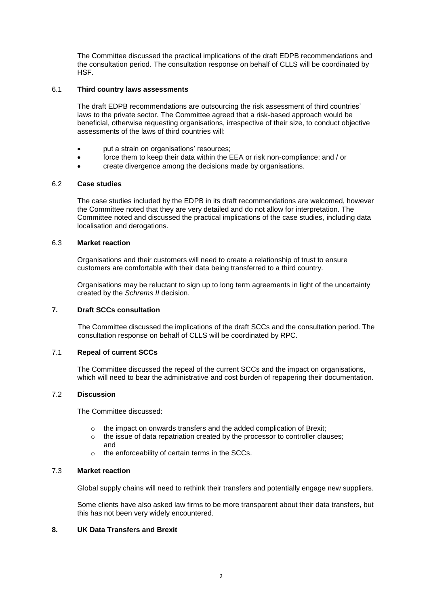The Committee discussed the practical implications of the draft EDPB recommendations and the consultation period. The consultation response on behalf of CLLS will be coordinated by HSF.

## 6.1 **Third country laws assessments**

The draft EDPB recommendations are outsourcing the risk assessment of third countries' laws to the private sector. The Committee agreed that a risk-based approach would be beneficial, otherwise requesting organisations, irrespective of their size, to conduct objective assessments of the laws of third countries will:

- put a strain on organisations' resources;
- force them to keep their data within the EEA or risk non-compliance; and / or
- create divergence among the decisions made by organisations.

## 6.2 **Case studies**

The case studies included by the EDPB in its draft recommendations are welcomed, however the Committee noted that they are very detailed and do not allow for interpretation. The Committee noted and discussed the practical implications of the case studies, including data localisation and derogations.

#### 6.3 **Market reaction**

Organisations and their customers will need to create a relationship of trust to ensure customers are comfortable with their data being transferred to a third country.

Organisations may be reluctant to sign up to long term agreements in light of the uncertainty created by the *Schrems II* decision.

#### **7. Draft SCCs consultation**

The Committee discussed the implications of the draft SCCs and the consultation period. The consultation response on behalf of CLLS will be coordinated by RPC.

## 7.1 **Repeal of current SCCs**

The Committee discussed the repeal of the current SCCs and the impact on organisations, which will need to bear the administrative and cost burden of repapering their documentation.

#### 7.2 **Discussion**

The Committee discussed:

- o the impact on onwards transfers and the added complication of Brexit;
- o the issue of data repatriation created by the processor to controller clauses; and
- o the enforceability of certain terms in the SCCs.

#### 7.3 **Market reaction**

Global supply chains will need to rethink their transfers and potentially engage new suppliers.

Some clients have also asked law firms to be more transparent about their data transfers, but this has not been very widely encountered.

## **8. UK Data Transfers and Brexit**